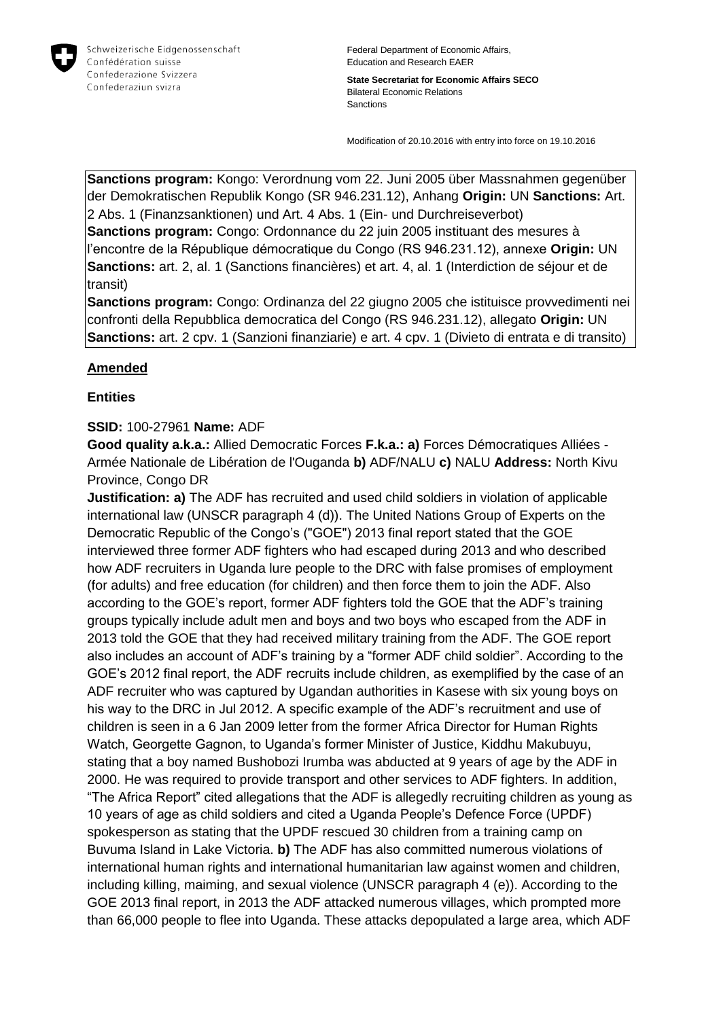

**State Secretariat for Economic Affairs SECO** Bilateral Economic Relations Sanctions

Modification of 20.10.2016 with entry into force on 19.10.2016

**Sanctions program:** Kongo: Verordnung vom 22. Juni 2005 über Massnahmen gegenüber der Demokratischen Republik Kongo (SR 946.231.12), Anhang **Origin:** UN **Sanctions:** Art. 2 Abs. 1 (Finanzsanktionen) und Art. 4 Abs. 1 (Ein- und Durchreiseverbot) **Sanctions program:** Congo: Ordonnance du 22 juin 2005 instituant des mesures à

l'encontre de la République démocratique du Congo (RS 946.231.12), annexe **Origin:** UN **Sanctions:** art. 2, al. 1 (Sanctions financières) et art. 4, al. 1 (Interdiction de séjour et de transit)

**Sanctions program:** Congo: Ordinanza del 22 giugno 2005 che istituisce provvedimenti nei confronti della Repubblica democratica del Congo (RS 946.231.12), allegato **Origin:** UN **Sanctions:** art. 2 cpv. 1 (Sanzioni finanziarie) e art. 4 cpv. 1 (Divieto di entrata e di transito)

## **Amended**

## **Entities**

## **SSID:** 100-27961 **Name:** ADF

**Good quality a.k.a.:** Allied Democratic Forces **F.k.a.: a)** Forces Démocratiques Alliées - Armée Nationale de Libération de l'Ouganda **b)** ADF/NALU **c)** NALU **Address:** North Kivu Province, Congo DR

**Justification: a)** The ADF has recruited and used child soldiers in violation of applicable international law (UNSCR paragraph 4 (d)). The United Nations Group of Experts on the Democratic Republic of the Congo's ("GOE") 2013 final report stated that the GOE interviewed three former ADF fighters who had escaped during 2013 and who described how ADF recruiters in Uganda lure people to the DRC with false promises of employment (for adults) and free education (for children) and then force them to join the ADF. Also according to the GOE's report, former ADF fighters told the GOE that the ADF's training groups typically include adult men and boys and two boys who escaped from the ADF in 2013 told the GOE that they had received military training from the ADF. The GOE report also includes an account of ADF's training by a "former ADF child soldier". According to the GOE's 2012 final report, the ADF recruits include children, as exemplified by the case of an ADF recruiter who was captured by Ugandan authorities in Kasese with six young boys on his way to the DRC in Jul 2012. A specific example of the ADF's recruitment and use of children is seen in a 6 Jan 2009 letter from the former Africa Director for Human Rights Watch, Georgette Gagnon, to Uganda's former Minister of Justice, Kiddhu Makubuyu, stating that a boy named Bushobozi Irumba was abducted at 9 years of age by the ADF in 2000. He was required to provide transport and other services to ADF fighters. In addition, "The Africa Report" cited allegations that the ADF is allegedly recruiting children as young as 10 years of age as child soldiers and cited a Uganda People's Defence Force (UPDF) spokesperson as stating that the UPDF rescued 30 children from a training camp on Buvuma Island in Lake Victoria. **b)** The ADF has also committed numerous violations of international human rights and international humanitarian law against women and children, including killing, maiming, and sexual violence (UNSCR paragraph 4 (e)). According to the GOE 2013 final report, in 2013 the ADF attacked numerous villages, which prompted more than 66,000 people to flee into Uganda. These attacks depopulated a large area, which ADF